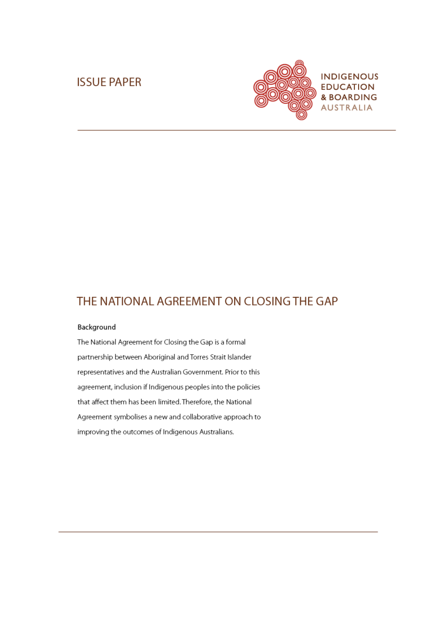# **ISSUE PAPER**



# THE NATIONAL AGREEMENT ON CLOSING THE GAP

#### Background

The National Agreement for Closing the Gap is a formal partnership between Aboriginal and Torres Strait Islander representatives and the Australian Government. Prior to this agreement, inclusion if Indigenous peoples into the policies that affect them has been limited. Therefore, the National Agreement symbolises a new and collaborative approach to improving the outcomes of Indigenous Australians.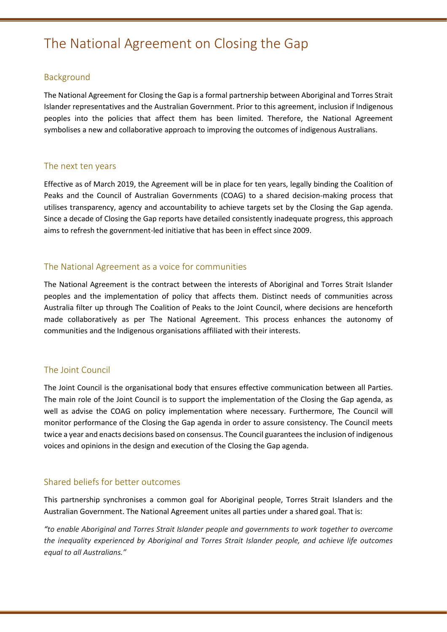# The National Agreement on Closing the Gap

# Background

The National Agreement for Closing the Gap is a formal partnership between Aboriginal and Torres Strait Islander representatives and the Australian Government. Prior to this agreement, inclusion if Indigenous peoples into the policies that affect them has been limited. Therefore, the National Agreement symbolises a new and collaborative approach to improving the outcomes of indigenous Australians.

#### The next ten years

Effective as of March 2019, the Agreement will be in place for ten years, legally binding the Coalition of Peaks and the Council of Australian Governments (COAG) to a shared decision-making process that utilises transparency, agency and accountability to achieve targets set by the Closing the Gap agenda. Since a decade of Closing the Gap reports have detailed consistently inadequate progress, this approach aims to refresh the government-led initiative that has been in effect since 2009.

### The National Agreement as a voice for communities

The National Agreement is the contract between the interests of Aboriginal and Torres Strait Islander peoples and the implementation of policy that affects them. Distinct needs of communities across Australia filter up through The Coalition of Peaks to the Joint Council, where decisions are henceforth made collaboratively as per The National Agreement. This process enhances the autonomy of communities and the Indigenous organisations affiliated with their interests.

#### The Joint Council

The Joint Council is the organisational body that ensures effective communication between all Parties. The main role of the Joint Council is to support the implementation of the Closing the Gap agenda, as well as advise the COAG on policy implementation where necessary. Furthermore, The Council will monitor performance of the Closing the Gap agenda in order to assure consistency. The Council meets twice a year and enacts decisions based on consensus. The Council guarantees the inclusion of indigenous voices and opinions in the design and execution of the Closing the Gap agenda.

# Shared beliefs for better outcomes

This partnership synchronises a common goal for Aboriginal people, Torres Strait Islanders and the Australian Government. The National Agreement unites all parties under a shared goal. That is:

*"to enable Aboriginal and Torres Strait Islander people and governments to work together to overcome the inequality experienced by Aboriginal and Torres Strait Islander people, and achieve life outcomes equal to all Australians."*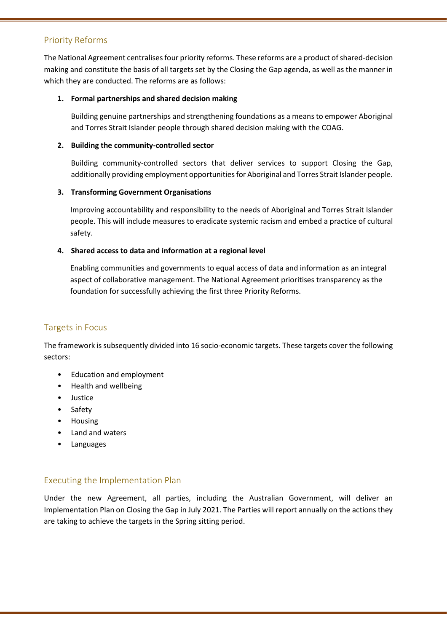# Priority Reforms

The National Agreement centralises four priority reforms. These reforms are a product of shared-decision making and constitute the basis of all targets set by the Closing the Gap agenda, as well as the manner in which they are conducted. The reforms are as follows:

#### **1. Formal partnerships and shared decision making**

Building genuine partnerships and strengthening foundations as a means to empower Aboriginal and Torres Strait Islander people through shared decision making with the COAG.

#### **2. Building the community-controlled sector**

Building community-controlled sectors that deliver services to support Closing the Gap, additionally providing employment opportunities for Aboriginal and Torres Strait Islander people.

#### **3. Transforming Government Organisations**

Improving accountability and responsibility to the needs of Aboriginal and Torres Strait Islander people. This will include measures to eradicate systemic racism and embed a practice of cultural safety.

#### **4. Shared access to data and information at a regional level**

Enabling communities and governments to equal access of data and information as an integral aspect of collaborative management. The National Agreement prioritises transparency as the foundation for successfully achieving the first three Priority Reforms.

# Targets in Focus

The framework is subsequently divided into 16 socio-economic targets. These targets cover the following sectors:

- Education and employment
- Health and wellbeing
- Justice
- Safety
- Housing
- Land and waters
- **Languages**

# Executing the Implementation Plan

Under the new Agreement, all parties, including the Australian Government, will deliver an Implementation Plan on Closing the Gap in July 2021. The Parties will report annually on the actions they are taking to achieve the targets in the Spring sitting period.